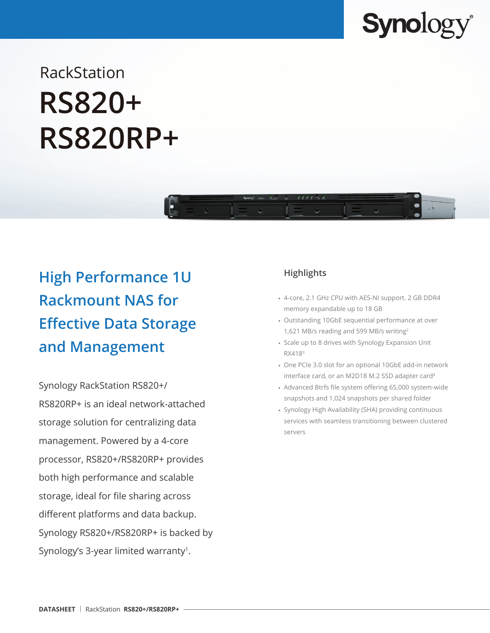

# RackStation **RS820+ RS820RP+**



## **High Performance 1U Rackmount NAS for Effective Data Storage and Management**

Synology RackStation RS820+/ RS820RP+ is an ideal network-attached storage solution for centralizing data management. Powered by a 4-core processor, RS820+/RS820RP+ provides both high performance and scalable storage, ideal for file sharing across different platforms and data backup. Synology RS820+/RS820RP+ is backed by Synology's 3-year limited warranty<sup>1</sup>.

### **Highlights**

- 4-core, 2.1 GHz CPU with AES-NI support. 2 GB DDR4 memory expandable up to 18 GB
- Outstanding 10GbE sequential performance at over 1,621 MB/s reading and 599 MB/s writing2
- Scale up to 8 drives with Synology Expansion Unit RX4183
- One PCIe 3.0 slot for an optional 10GbE add-in network interface card, or an M2D18 M.2 SSD adapter card4
- Advanced Btrfs file system offering 65,000 system-wide snapshots and 1,024 snapshots per shared folder
- Synology High Availability (SHA) providing continuous services with seamless transitioning between clustered servers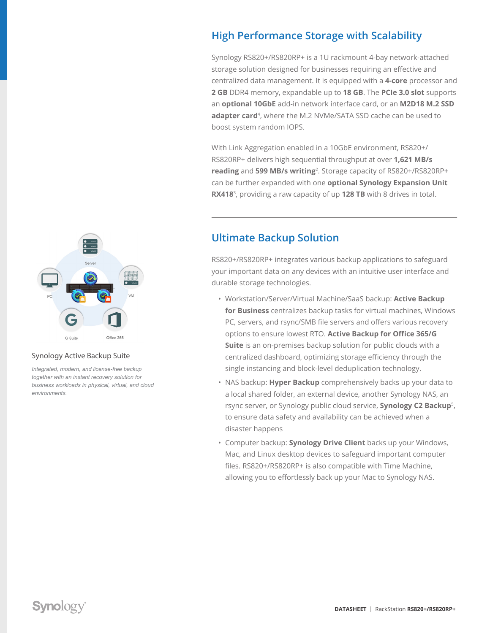### **High Performance Storage with Scalability**

Synology RS820+/RS820RP+ is a 1U rackmount 4-bay network-attached storage solution designed for businesses requiring an effective and centralized data management. It is equipped with a **4-core** processor and **2 GB** DDR4 memory, expandable up to **18 GB**. The **PCIe 3.0 slot** supports an **optional 10GbE** add-in network interface card, or an **M2D18 M.2 SSD**  adapter card<sup>4</sup>, where the M.2 NVMe/SATA SSD cache can be used to boost system random IOPS.

With Link Aggregation enabled in a 10GbE environment, RS820+/ RS820RP+ delivers high sequential throughput at over **1,621 MB/s reading** and **599 MB/s writing**2. Storage capacity of RS820+/RS820RP+ can be further expanded with one **optional Synology Expansion Unit RX418**3, providing a raw capacity of up **128 TB** with 8 drives in total.



RS820+/RS820RP+ integrates various backup applications to safeguard your important data on any devices with an intuitive user interface and durable storage technologies.

- Workstation/Server/Virtual Machine/SaaS backup: **Active Backup for Business** centralizes backup tasks for virtual machines, Windows PC, servers, and rsync/SMB file servers and offers various recovery options to ensure lowest RTO. **Active Backup for Office 365/G Suite** is an on-premises backup solution for public clouds with a centralized dashboard, optimizing storage efficiency through the single instancing and block-level deduplication technology.
- NAS backup: **Hyper Backup** comprehensively backs up your data to a local shared folder, an external device, another Synology NAS, an rsync server, or Synology public cloud service, **Synology C2 Backup**5, to ensure data safety and availability can be achieved when a disaster happens
- Computer backup: **Synology Drive Client** backs up your Windows, Mac, and Linux desktop devices to safeguard important computer files. RS820+/RS820RP+ is also compatible with Time Machine, allowing you to effortlessly back up your Mac to Synology NAS.



#### Synology Active Backup Suite

*Integrated, modern, and license-free backup together with an instant recovery solution for business workloads in physical, virtual, and cloud environments.*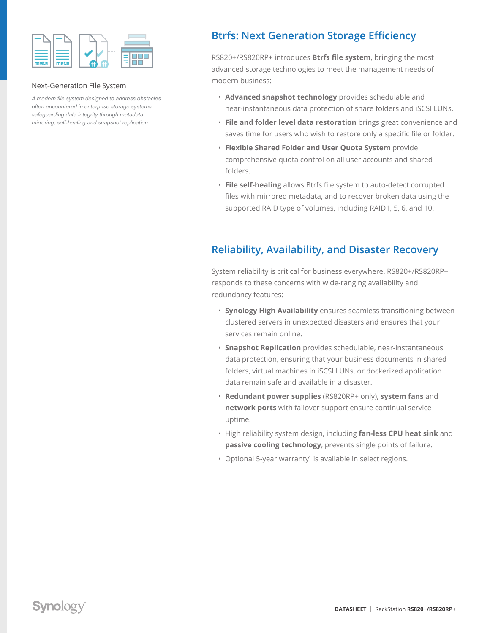

### Next-Generation File System

*A modern file system designed to address obstacles often encountered in enterprise storage systems, safeguarding data integrity through metadata mirroring, self-healing and snapshot replication.*

### **Btrfs: Next Generation Storage Efficiency**

RS820+/RS820RP+ introduces **Btrfs file system**, bringing the most advanced storage technologies to meet the management needs of modern business:

- **Advanced snapshot technology** provides schedulable and near-instantaneous data protection of share folders and iSCSI LUNs.
- **File and folder level data restoration** brings great convenience and saves time for users who wish to restore only a specific file or folder.
- **Flexible Shared Folder and User Quota System** provide comprehensive quota control on all user accounts and shared folders.
- **File self-healing** allows Btrfs file system to auto-detect corrupted files with mirrored metadata, and to recover broken data using the supported RAID type of volumes, including RAID1, 5, 6, and 10.

### **Reliability, Availability, and Disaster Recovery**

System reliability is critical for business everywhere. RS820+/RS820RP+ responds to these concerns with wide-ranging availability and redundancy features:

- **Synology High Availability** ensures seamless transitioning between clustered servers in unexpected disasters and ensures that your services remain online.
- **Snapshot Replication** provides schedulable, near-instantaneous data protection, ensuring that your business documents in shared folders, virtual machines in iSCSI LUNs, or dockerized application data remain safe and available in a disaster.
- **Redundant power supplies** (RS820RP+ only), **system fans** and **network ports** with failover support ensure continual service uptime.
- High reliability system design, including **fan-less CPU heat sink** and **passive cooling technology**, prevents single points of failure.
- Optional 5-year warranty<sup>1</sup> is available in select regions.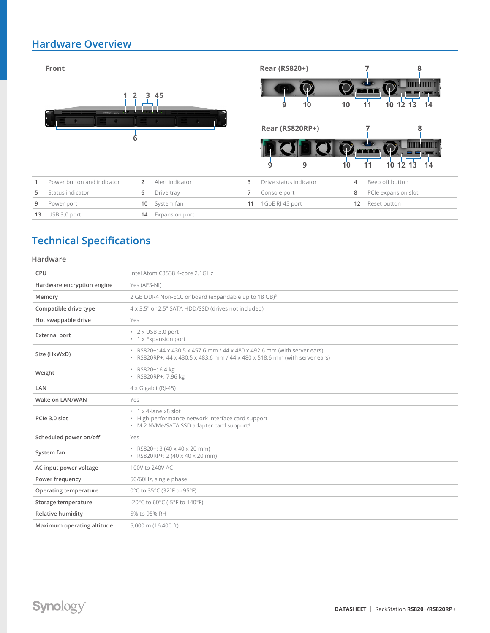### **Hardware Overview**

|    | Front<br>Synology <sup>1</sup> euro- | $\overline{2}$<br>3. | 45<br>.         |    | <b>Rear (RS820+)</b><br>10<br>9 | 10 |    | 8<br><b>TITULATION</b><br><b>TTT</b><br>11<br>10<br>12<br>13<br>14 |
|----|--------------------------------------|----------------------|-----------------|----|---------------------------------|----|----|--------------------------------------------------------------------|
|    |                                      | 6                    |                 |    | Rear (RS820RP+)<br>9<br>9       | 10 |    | 8<br><b>TIME AND I</b><br><b>Francis</b><br>10 12<br>11<br>14      |
|    | Power button and indicator           | $\overline{2}$       | Alert indicator | 3  | Drive status indicator          |    | 4  | Beep off button                                                    |
| 5  | Status indicator                     | 6                    | Drive tray      | 7  | Console port                    |    | 8  | PCIe expansion slot                                                |
| 9  | Power port                           | 10                   | System fan      | 11 | 1GbE RJ-45 port                 |    | 12 | Reset button                                                       |
| 13 | USB 3.0 port                         | 14                   | Expansion port  |    |                                 |    |    |                                                                    |

### **Technical Specifications**

### **Hardware**

| CPU                        | Intel Atom C3538 4-core 2.1GHz                                                                                                                         |
|----------------------------|--------------------------------------------------------------------------------------------------------------------------------------------------------|
| Hardware encryption engine | Yes (AES-NI)                                                                                                                                           |
| Memory                     | 2 GB DDR4 Non-ECC onboard (expandable up to 18 GB) <sup>6</sup>                                                                                        |
| Compatible drive type      | 4 x 3.5" or 2.5" SATA HDD/SSD (drives not included)                                                                                                    |
| Hot swappable drive        | Yes                                                                                                                                                    |
| <b>External port</b>       | $\cdot$ 2 x USB 3.0 port<br>• 1 x Expansion port                                                                                                       |
| Size (HxWxD)               | • RS820+: 44 x 430.5 x 457.6 mm / 44 x 480 x 492.6 mm (with server ears)<br>• RS820RP+: 44 x 430.5 x 483.6 mm / 44 x 480 x 518.6 mm (with server ears) |
| Weight                     | · RS820+: 6.4 kg<br>· RS820RP+: 7.96 kg                                                                                                                |
| LAN                        | $4 \times$ Gigabit (RJ-45)                                                                                                                             |
| Wake on LAN/WAN            | Yes                                                                                                                                                    |
| PCIe 3.0 slot              | $\cdot$ 1 x 4-lane x8 slot<br>• High-performance network interface card support<br>• M.2 NVMe/SATA SSD adapter card support <sup>4</sup>               |
| Scheduled power on/off     | Yes                                                                                                                                                    |
| System fan                 | · RS820+: 3 (40 x 40 x 20 mm)<br>· RS820RP+: 2 (40 x 40 x 20 mm)                                                                                       |
| AC input power voltage     | 100V to 240V AC                                                                                                                                        |
| Power frequency            | 50/60Hz, single phase                                                                                                                                  |
| Operating temperature      | 0°C to 35°C (32°F to 95°F)                                                                                                                             |
| Storage temperature        | -20°C to 60°C (-5°F to 140°F)                                                                                                                          |
| Relative humidity          | 5% to 95% RH                                                                                                                                           |
| Maximum operating altitude | 5,000 m (16,400 ft)                                                                                                                                    |
|                            |                                                                                                                                                        |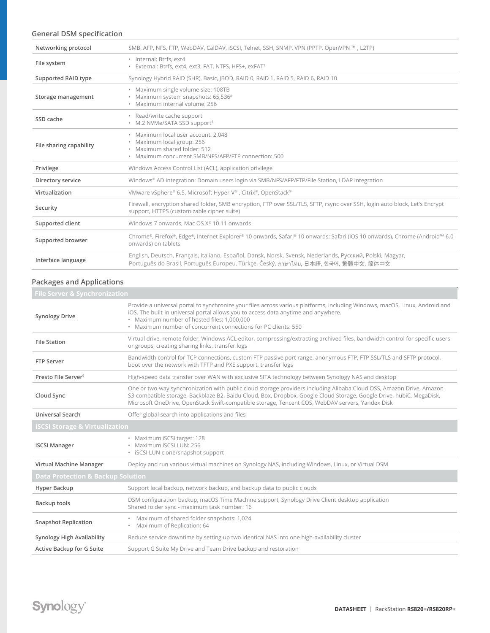### **General DSM specification**

| Networking protocol     | SMB, AFP, NFS, FTP, WebDAV, CalDAV, iSCSI, Telnet, SSH, SNMP, VPN (PPTP, OpenVPN ™, L2TP)                                                                                                         |
|-------------------------|---------------------------------------------------------------------------------------------------------------------------------------------------------------------------------------------------|
| File system             | · Internal: Btrfs, ext4<br>· External: Btrfs, ext4, ext3, FAT, NTFS, HFS+, exFAT7                                                                                                                 |
| Supported RAID type     | Synology Hybrid RAID (SHR), Basic, JBOD, RAID 0, RAID 1, RAID 5, RAID 6, RAID 10                                                                                                                  |
| Storage management      | · Maximum single volume size: 108TB<br>• Maximum system snapshots: 65,536 <sup>8</sup><br>· Maximum internal volume: 256                                                                          |
| SSD cache               | • Read/write cache support<br>• M.2 NVMe/SATA SSD support <sup>4</sup>                                                                                                                            |
| File sharing capability | · Maximum local user account: 2,048<br>· Maximum local group: 256<br>· Maximum shared folder: 512<br>· Maximum concurrent SMB/NFS/AFP/FTP connection: 500                                         |
| Privilege               | Windows Access Control List (ACL), application privilege                                                                                                                                          |
| Directory service       | Windows® AD integration: Domain users login via SMB/NFS/AFP/FTP/File Station, LDAP integration                                                                                                    |
| Virtualization          | VMware vSphere® 6.5, Microsoft Hyper-V®, Citrix®, OpenStack®                                                                                                                                      |
| Security                | Firewall, encryption shared folder, SMB encryption, FTP over SSL/TLS, SFTP, rsync over SSH, login auto block, Let's Encrypt<br>support, HTTPS (customizable cipher suite)                         |
| Supported client        | Windows 7 onwards, Mac OS X® 10.11 onwards                                                                                                                                                        |
| Supported browser       | Chrome®, Firefox®, Edge®, Internet Explorer® 10 onwards, Safari® 10 onwards; Safari (iOS 10 onwards), Chrome (Android™ 6.0<br>onwards) on tablets                                                 |
| Interface language      | English, Deutsch, Français, Italiano, Español, Dansk, Norsk, Svensk, Nederlands, Русский, Polski, Magyar,<br>Português do Brasil, Português Europeu, Türkçe, Český, ภาษาไทย, 日本語, 한국어, 繁體中文, 简体中文 |

### **Packages and Applications**

| File Server & Synchronization                |                                                                                                                                                                                                                                                                                                                                                  |  |  |  |
|----------------------------------------------|--------------------------------------------------------------------------------------------------------------------------------------------------------------------------------------------------------------------------------------------------------------------------------------------------------------------------------------------------|--|--|--|
| <b>Synology Drive</b>                        | Provide a universal portal to synchronize your files across various platforms, including Windows, macOS, Linux, Android and<br>iOS. The built-in universal portal allows you to access data anytime and anywhere.<br>· Maximum number of hosted files: 1,000,000<br>. Maximum number of concurrent connections for PC clients: 550               |  |  |  |
| <b>File Station</b>                          | Virtual drive, remote folder, Windows ACL editor, compressing/extracting archived files, bandwidth control for specific users<br>or groups, creating sharing links, transfer logs                                                                                                                                                                |  |  |  |
| FTP Server                                   | Bandwidth control for TCP connections, custom FTP passive port range, anonymous FTP, FTP SSL/TLS and SFTP protocol,<br>boot over the network with TFTP and PXE support, transfer logs                                                                                                                                                            |  |  |  |
| Presto File Server <sup>9</sup>              | High-speed data transfer over WAN with exclusive SITA technology between Synology NAS and desktop                                                                                                                                                                                                                                                |  |  |  |
| Cloud Sync                                   | One or two-way synchronization with public cloud storage providers including Alibaba Cloud OSS, Amazon Drive, Amazon<br>S3-compatible storage, Backblaze B2, Baidu Cloud, Box, Dropbox, Google Cloud Storage, Google Drive, hubiC, MegaDisk,<br>Microsoft OneDrive, OpenStack Swift-compatible storage, Tencent COS, WebDAV servers, Yandex Disk |  |  |  |
| Universal Search                             | Offer global search into applications and files                                                                                                                                                                                                                                                                                                  |  |  |  |
| <b>iSCSI Storage &amp; Virtualization</b>    |                                                                                                                                                                                                                                                                                                                                                  |  |  |  |
| <b>iSCSI Manager</b>                         | · Maximum iSCSI target: 128<br>· Maximum iSCSI LUN: 256<br>· iSCSI LUN clone/snapshot support                                                                                                                                                                                                                                                    |  |  |  |
| Virtual Machine Manager                      | Deploy and run various virtual machines on Synology NAS, including Windows, Linux, or Virtual DSM                                                                                                                                                                                                                                                |  |  |  |
| <b>Data Protection &amp; Backup Solution</b> |                                                                                                                                                                                                                                                                                                                                                  |  |  |  |
| Hyper Backup                                 | Support local backup, network backup, and backup data to public clouds                                                                                                                                                                                                                                                                           |  |  |  |
| Backup tools                                 | DSM configuration backup, macOS Time Machine support, Synology Drive Client desktop application<br>Shared folder sync - maximum task number: 16                                                                                                                                                                                                  |  |  |  |
| <b>Snapshot Replication</b>                  | • Maximum of shared folder snapshots: 1,024<br>· Maximum of Replication: 64                                                                                                                                                                                                                                                                      |  |  |  |
| Synology High Availability                   | Reduce service downtime by setting up two identical NAS into one high-availability cluster                                                                                                                                                                                                                                                       |  |  |  |
| Active Backup for G Suite                    | Support G Suite My Drive and Team Drive backup and restoration                                                                                                                                                                                                                                                                                   |  |  |  |
|                                              |                                                                                                                                                                                                                                                                                                                                                  |  |  |  |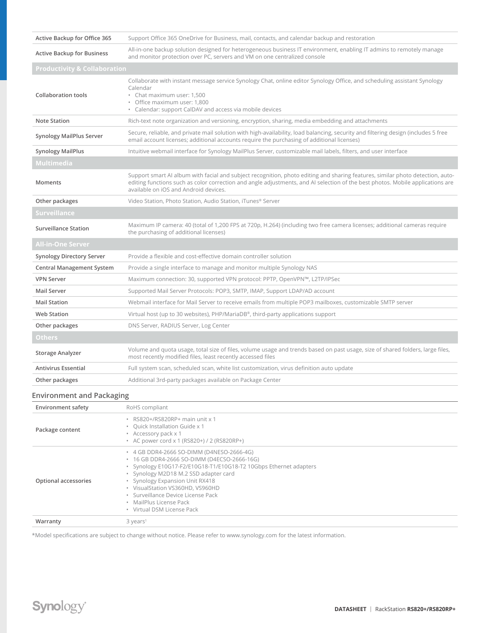| Active Backup for Office 365            | Support Office 365 OneDrive for Business, mail, contacts, and calendar backup and restoration                                                                                                                                                                                                             |  |  |  |  |  |  |
|-----------------------------------------|-----------------------------------------------------------------------------------------------------------------------------------------------------------------------------------------------------------------------------------------------------------------------------------------------------------|--|--|--|--|--|--|
| <b>Active Backup for Business</b>       | All-in-one backup solution designed for heterogeneous business IT environment, enabling IT admins to remotely manage<br>and monitor protection over PC, servers and VM on one centralized console                                                                                                         |  |  |  |  |  |  |
| <b>Productivity &amp; Collaboration</b> |                                                                                                                                                                                                                                                                                                           |  |  |  |  |  |  |
| <b>Collaboration tools</b>              | Collaborate with instant message service Synology Chat, online editor Synology Office, and scheduling assistant Synology<br>Calendar<br>• Chat maximum user: 1,500<br>· Office maximum user: 1,800<br>• Calendar: support CalDAV and access via mobile devices                                            |  |  |  |  |  |  |
| <b>Note Station</b>                     | Rich-text note organization and versioning, encryption, sharing, media embedding and attachments                                                                                                                                                                                                          |  |  |  |  |  |  |
| <b>Synology MailPlus Server</b>         | Secure, reliable, and private mail solution with high-availability, load balancing, security and filtering design (includes 5 free<br>email account licenses; additional accounts require the purchasing of additional licenses)                                                                          |  |  |  |  |  |  |
| <b>Synology MailPlus</b>                | Intuitive webmail interface for Synology MailPlus Server, customizable mail labels, filters, and user interface                                                                                                                                                                                           |  |  |  |  |  |  |
| <b>Multimedia</b>                       |                                                                                                                                                                                                                                                                                                           |  |  |  |  |  |  |
| Moments                                 | Support smart AI album with facial and subject recognition, photo editing and sharing features, similar photo detection, auto-<br>editing functions such as color correction and angle adjustments, and AI selection of the best photos. Mobile applications are<br>available on iOS and Android devices. |  |  |  |  |  |  |
| Other packages                          | Video Station, Photo Station, Audio Station, iTunes® Server                                                                                                                                                                                                                                               |  |  |  |  |  |  |
| <b>Surveillance</b>                     |                                                                                                                                                                                                                                                                                                           |  |  |  |  |  |  |
| <b>Surveillance Station</b>             | Maximum IP camera: 40 (total of 1,200 FPS at 720p, H.264) (including two free camera licenses; additional cameras require<br>the purchasing of additional licenses)                                                                                                                                       |  |  |  |  |  |  |
| All-in-One Server                       |                                                                                                                                                                                                                                                                                                           |  |  |  |  |  |  |
| <b>Synology Directory Server</b>        | Provide a flexible and cost-effective domain controller solution                                                                                                                                                                                                                                          |  |  |  |  |  |  |
| <b>Central Management System</b>        | Provide a single interface to manage and monitor multiple Synology NAS                                                                                                                                                                                                                                    |  |  |  |  |  |  |
| <b>VPN Server</b>                       | Maximum connection: 30, supported VPN protocol: PPTP, OpenVPN™, L2TP/IPSec                                                                                                                                                                                                                                |  |  |  |  |  |  |
| <b>Mail Server</b>                      | Supported Mail Server Protocols: POP3, SMTP, IMAP, Support LDAP/AD account                                                                                                                                                                                                                                |  |  |  |  |  |  |
| <b>Mail Station</b>                     | Webmail interface for Mail Server to receive emails from multiple POP3 mailboxes, customizable SMTP server                                                                                                                                                                                                |  |  |  |  |  |  |
| <b>Web Station</b>                      | Virtual host (up to 30 websites), $PHP/MariaDB^{\circ}$ , third-party applications support                                                                                                                                                                                                                |  |  |  |  |  |  |
| Other packages                          | DNS Server, RADIUS Server, Log Center                                                                                                                                                                                                                                                                     |  |  |  |  |  |  |
| <b>Others</b>                           |                                                                                                                                                                                                                                                                                                           |  |  |  |  |  |  |
| Storage Analyzer                        | Volume and quota usage, total size of files, volume usage and trends based on past usage, size of shared folders, large files,<br>most recently modified files, least recently accessed files                                                                                                             |  |  |  |  |  |  |
| <b>Antivirus Essential</b>              | Full system scan, scheduled scan, white list customization, virus definition auto update                                                                                                                                                                                                                  |  |  |  |  |  |  |
| Other packages                          | Additional 3rd-party packages available on Package Center                                                                                                                                                                                                                                                 |  |  |  |  |  |  |
| Environment and Packaging               |                                                                                                                                                                                                                                                                                                           |  |  |  |  |  |  |
| <b>Environment safety</b>               | RoHS compliant                                                                                                                                                                                                                                                                                            |  |  |  |  |  |  |
| Package content                         | · RS820+/RS820RP+ main unit x 1<br>· Quick Installation Guide x 1<br>• Accessory pack x 1<br>• AC power cord x 1 (RS820+) / 2 (RS820RP+)                                                                                                                                                                  |  |  |  |  |  |  |

\*Model specifications are subject to change without notice. Please refer to www.synology.com for the latest information.

• 4 GB DDR4-2666 SO-DIMM (D4NESO-2666-4G) • 16 GB DDR4-2666 SO-DIMM (D4ECSO-2666-16G)

• Synology M2D18 M.2 SSD adapter card • Synology Expansion Unit RX418 • VisualStation VS360HD, VS960HD • Surveillance Device License Pack • MailPlus License Pack • Virtual DSM License Pack

• Synology E10G17-F2/E10G18-T1/E10G18-T2 10Gbps Ethernet adapters

**Optional accessories**

**Warranty** 3 years<sup>1</sup>